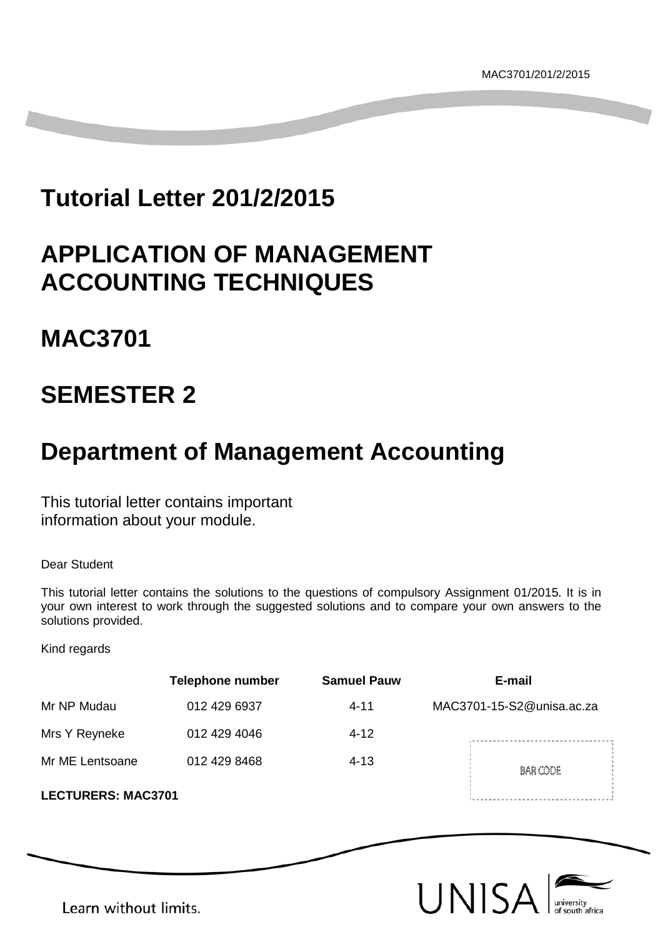# **Tutorial Letter 201/2/2015**

# **APPLICATION OF MANAGEMENT ACCOUNTING TECHNIQUES**

# **MAC3701**

# **SEMESTER 2**

# **Department of Management Accounting**

This tutorial letter contains important information about your module.

Dear Student

This tutorial letter contains the solutions to the questions of compulsory Assignment 01/2015. It is in your own interest to work through the suggested solutions and to compare your own answers to the solutions provided.

Kind regards

|                           | <b>Telephone number</b> | <b>Samuel Pauw</b> | E-mail                    |
|---------------------------|-------------------------|--------------------|---------------------------|
| Mr NP Mudau               | 012 429 6937            | $4 - 11$           | MAC3701-15-S2@unisa.ac.za |
| Mrs Y Reyneke             | 012 429 4046            | $4 - 12$           |                           |
| Mr ME Lentsoane           | 012 429 8468            | $4 - 13$           | BAR CODE                  |
| <b>LECTURERS: MAC3701</b> |                         |                    |                           |



Learn without limits.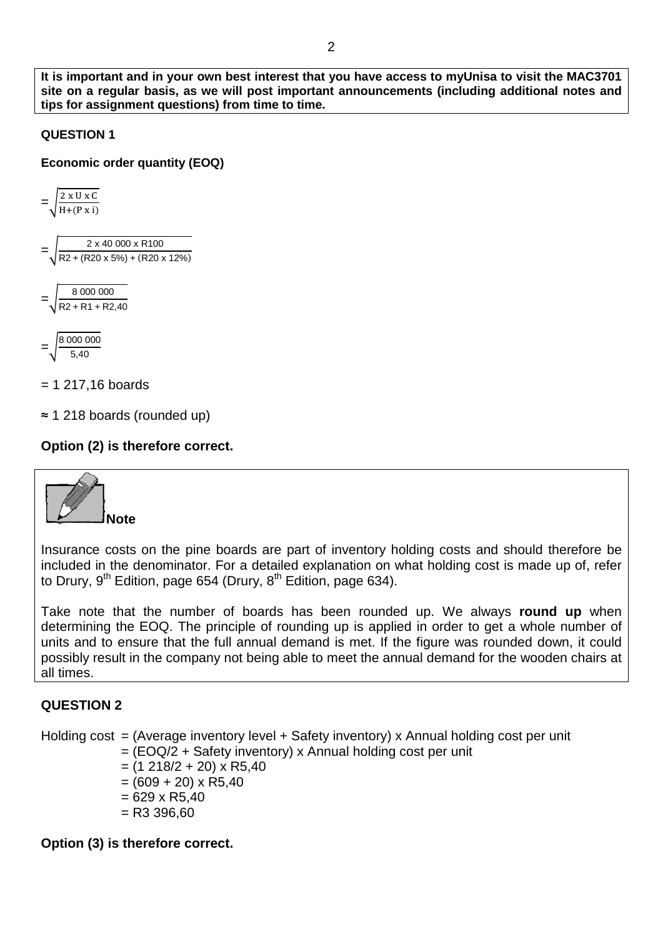**It is important and in your own best interest that you have access to myUnisa to visit the MAC3701 site on a regular basis, as we will post important announcements (including additional notes and tips for assignment questions) from time to time.**

#### **QUESTION 1**

**Economic order quantity (EOQ)**



 $= 1$  217,16 boards

≈ 1 218 boards (rounded up)

## **Option (2) is therefore correct.**



Insurance costs on the pine boards are part of inventory holding costs and should therefore be included in the denominator. For a detailed explanation on what holding cost is made up of, refer to Drury,  $9^{th}$  Edition, page 654 (Drury,  $8^{th}$  Edition, page 634).

Take note that the number of boards has been rounded up. We always **round up** when determining the EOQ. The principle of rounding up is applied in order to get a whole number of units and to ensure that the full annual demand is met. If the figure was rounded down, it could possibly result in the company not being able to meet the annual demand for the wooden chairs at all times.

# **QUESTION 2**

Holding cost = (Average inventory level + Safety inventory) x Annual holding cost per unit

- $=$  (EOQ/2 + Safety inventory) x Annual holding cost per unit
- $=$  (1 218/2 + 20) x R5,40
- $= (609 + 20) \times R5,40$
- $= 629 \times R5,40$
- $=$  R3 396.60

**Option (3) is therefore correct.**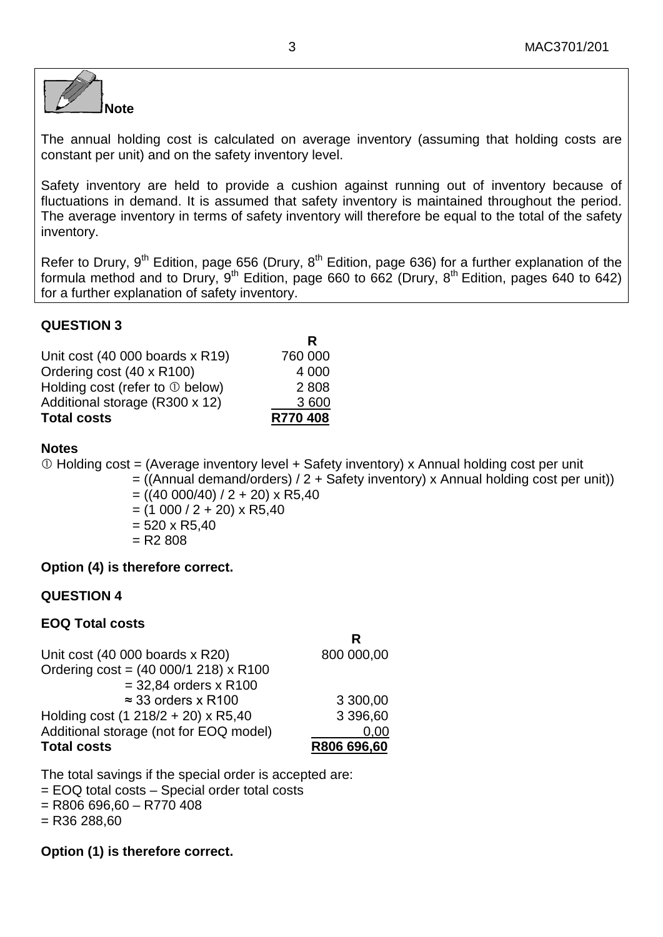

The annual holding cost is calculated on average inventory (assuming that holding costs are constant per unit) and on the safety inventory level.

Safety inventory are held to provide a cushion against running out of inventory because of fluctuations in demand. It is assumed that safety inventory is maintained throughout the period. The average inventory in terms of safety inventory will therefore be equal to the total of the safety inventory.

Refer to Drury, 9<sup>th</sup> Edition, page 656 (Drury, 8<sup>th</sup> Edition, page 636) for a further explanation of the formula method and to Drury, 9<sup>th</sup> Edition, page 660 to 662 (Drury, 8<sup>th</sup> Edition, pages 640 to 642) for a further explanation of safety inventory.

**R**

#### **QUESTION 3**

| <b>Total costs</b>                    | R770 408 |
|---------------------------------------|----------|
| Additional storage (R300 x 12)        | 3600     |
| Holding cost (refer to $\odot$ below) | 2808     |
| Ordering cost (40 x R100)             | 4 000    |
| Unit cost (40 000 boards x R19)       | 760 000  |
|                                       |          |

#### **Notes**

 $\odot$  Holding cost = (Average inventory level + Safety inventory) x Annual holding cost per unit

 $=$  ((Annual demand/orders) / 2 + Safety inventory) x Annual holding cost per unit))

 $= ((40 000/40) / 2 + 20) \times R5,40$ 

- $= (1 000 / 2 + 20) \times R5,40$
- $= 520 \times R5,40$
- $= R2 808$

#### **Option (4) is therefore correct.**

## **QUESTION 4**

#### **EOQ Total costs**

| R           |
|-------------|
| 800 000,00  |
|             |
|             |
| 3 300,00    |
| 3 396,60    |
| 0.00        |
| R806 696,60 |
|             |

The total savings if the special order is accepted are: = EOQ total costs – Special order total costs

 $=$  R806 696,60 – R770 408

 $=$  R36 288.60

**Option (1) is therefore correct.**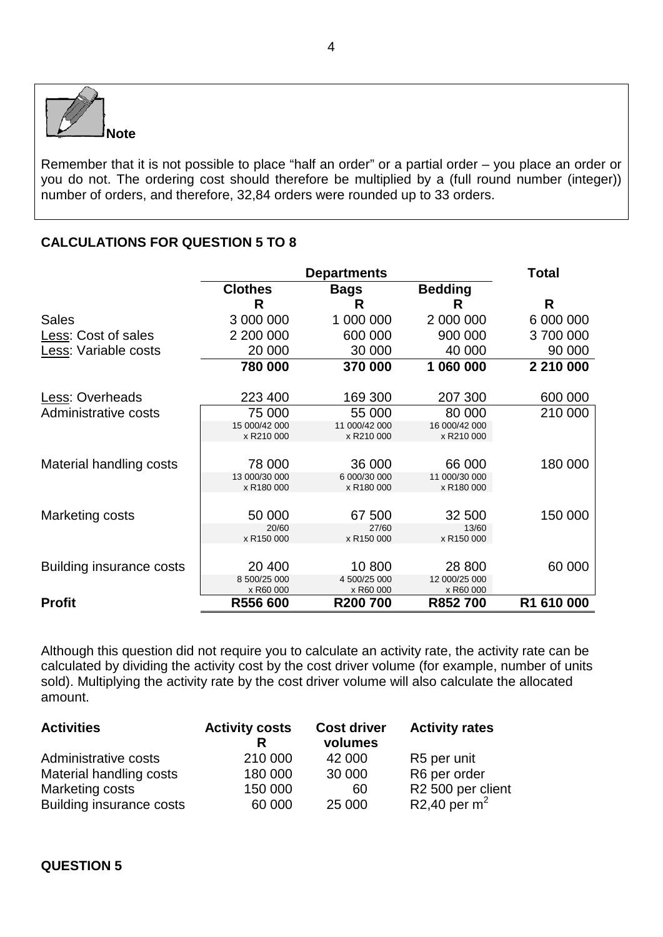

Remember that it is not possible to place "half an order" or a partial order – you place an order or you do not. The ordering cost should therefore be multiplied by a (full round number (integer)) number of orders, and therefore, 32,84 orders were rounded up to 33 orders.

# **CALCULATIONS FOR QUESTION 5 TO 8**

|                                 | <b>Departments</b>          |                             |                             | <b>Total</b> |  |
|---------------------------------|-----------------------------|-----------------------------|-----------------------------|--------------|--|
|                                 | <b>Clothes</b>              | <b>Bags</b>                 | <b>Bedding</b>              |              |  |
|                                 | R                           | R                           | R                           | R            |  |
| <b>Sales</b>                    | 3 000 000                   | 1 000 000                   | 2 000 000                   | 6 000 000    |  |
| Less: Cost of sales             | 2 200 000                   | 600 000                     | 900 000                     | 3700000      |  |
| Less: Variable costs            | 20 000                      | 30 000                      | 40 000                      | 90 000       |  |
|                                 | 780 000                     | 370 000                     | 1 060 000                   | 2 210 000    |  |
| Less: Overheads                 | 223 400                     | 169 300                     | 207 300                     | 600 000      |  |
| Administrative costs            | 75 000                      | 55 000                      | 80 000                      | 210 000      |  |
|                                 | 15 000/42 000<br>x R210 000 | 11 000/42 000<br>x R210 000 | 16 000/42 000<br>x R210 000 |              |  |
| Material handling costs         | 78 000                      | 36 000                      | 66 000                      | 180 000      |  |
|                                 | 13 000/30 000<br>x R180 000 | 6 000/30 000<br>x R180 000  | 11 000/30 000<br>x R180 000 |              |  |
| Marketing costs                 | 50 000                      | 67 500                      | 32 500                      | 150 000      |  |
|                                 | 20/60<br>x R150 000         | 27/60<br>x R150 000         | 13/60<br>x R150 000         |              |  |
|                                 |                             |                             |                             |              |  |
| <b>Building insurance costs</b> | 20 400<br>8 500/25 000      | 10 800<br>4 500/25 000      | 28 800<br>12 000/25 000     | 60 000       |  |
|                                 | x R60 000                   | x R60 000                   | x R60 000                   |              |  |
| <b>Profit</b>                   | R556 600                    | R200700                     | R852700                     | R1 610 000   |  |

Although this question did not require you to calculate an activity rate, the activity rate can be calculated by dividing the activity cost by the cost driver volume (for example, number of units sold). Multiplying the activity rate by the cost driver volume will also calculate the allocated amount.

| <b>Activities</b>               | <b>Activity costs</b> | <b>Cost driver</b><br>volumes | <b>Activity rates</b> |
|---------------------------------|-----------------------|-------------------------------|-----------------------|
| Administrative costs            | 210 000               | 42 000                        | R5 per unit           |
| Material handling costs         | 180 000               | 30 000                        | R6 per order          |
| Marketing costs                 | 150 000               | 60                            | R2 500 per client     |
| <b>Building insurance costs</b> | 60 000                | 25 000                        | R2,40 per $m2$        |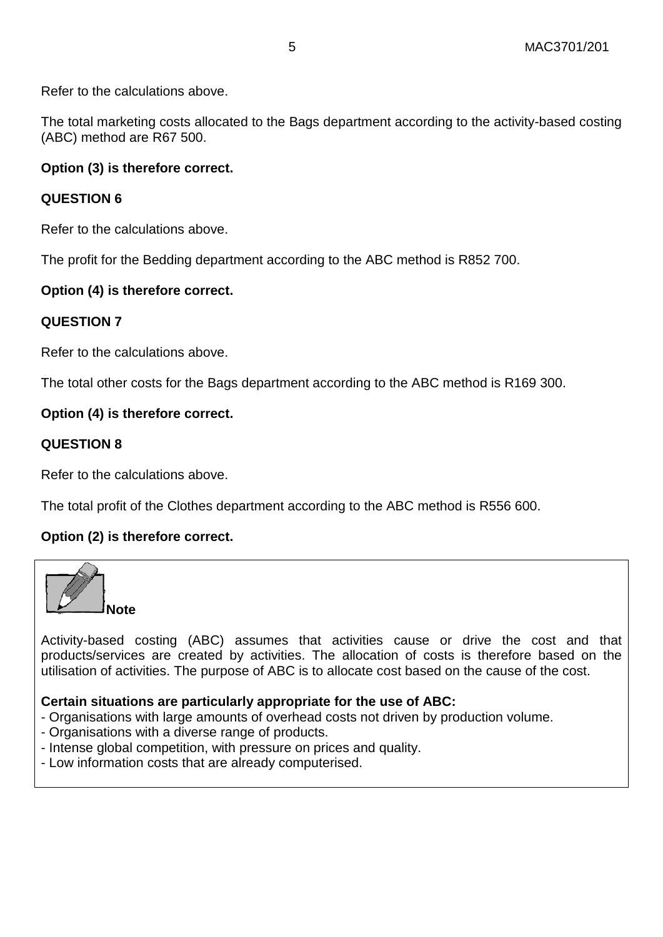Refer to the calculations above.

The total marketing costs allocated to the Bags department according to the activity-based costing (ABC) method are R67 500.

#### **Option (3) is therefore correct.**

#### **QUESTION 6**

Refer to the calculations above.

The profit for the Bedding department according to the ABC method is R852 700.

#### **Option (4) is therefore correct.**

#### **QUESTION 7**

Refer to the calculations above.

The total other costs for the Bags department according to the ABC method is R169 300.

#### **Option (4) is therefore correct.**

#### **QUESTION 8**

Refer to the calculations above.

The total profit of the Clothes department according to the ABC method is R556 600.

#### **Option (2) is therefore correct.**



Activity-based costing (ABC) assumes that activities cause or drive the cost and that products/services are created by activities. The allocation of costs is therefore based on the utilisation of activities. The purpose of ABC is to allocate cost based on the cause of the cost.

#### **Certain situations are particularly appropriate for the use of ABC:**

- Organisations with large amounts of overhead costs not driven by production volume.
- Organisations with a diverse range of products.
- Intense global competition, with pressure on prices and quality.
- Low information costs that are already computerised.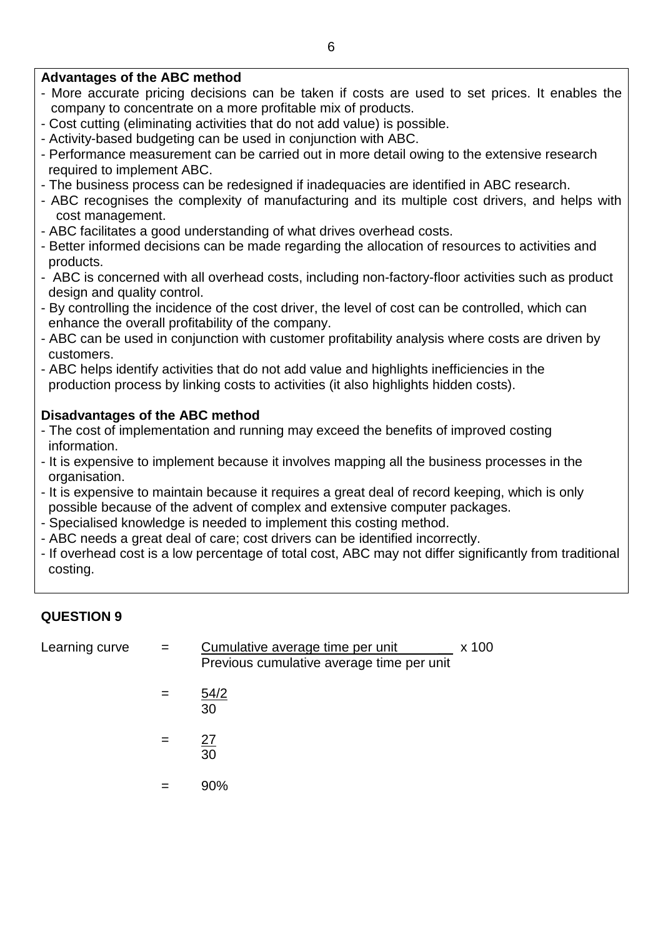## **Advantages of the ABC method**

- More accurate pricing decisions can be taken if costs are used to set prices. It enables the company to concentrate on a more profitable mix of products.
- Cost cutting (eliminating activities that do not add value) is possible.
- Activity-based budgeting can be used in conjunction with ABC.
- Performance measurement can be carried out in more detail owing to the extensive research required to implement ABC.
- The business process can be redesigned if inadequacies are identified in ABC research.
- ABC recognises the complexity of manufacturing and its multiple cost drivers, and helps with cost management.
- ABC facilitates a good understanding of what drives overhead costs.
- Better informed decisions can be made regarding the allocation of resources to activities and products.
- ABC is concerned with all overhead costs, including non-factory-floor activities such as product design and quality control.
- By controlling the incidence of the cost driver, the level of cost can be controlled, which can enhance the overall profitability of the company.
- ABC can be used in conjunction with customer profitability analysis where costs are driven by customers.
- ABC helps identify activities that do not add value and highlights inefficiencies in the production process by linking costs to activities (it also highlights hidden costs).

# **Disadvantages of the ABC method**

- The cost of implementation and running may exceed the benefits of improved costing information.
- It is expensive to implement because it involves mapping all the business processes in the organisation.
- It is expensive to maintain because it requires a great deal of record keeping, which is only possible because of the advent of complex and extensive computer packages.
- Specialised knowledge is needed to implement this costing method.
- ABC needs a great deal of care; cost drivers can be identified incorrectly.
- If overhead cost is a low percentage of total cost, ABC may not differ significantly from traditional costing.

# **QUESTION 9**

| Learning curve | $=$ | Cumulative average time per unit<br>x 100<br>Previous cumulative average time per unit |  |
|----------------|-----|----------------------------------------------------------------------------------------|--|
|                |     | 54/2<br>30                                                                             |  |
|                | $=$ | 27<br>30                                                                               |  |
|                |     | 90%                                                                                    |  |
|                |     |                                                                                        |  |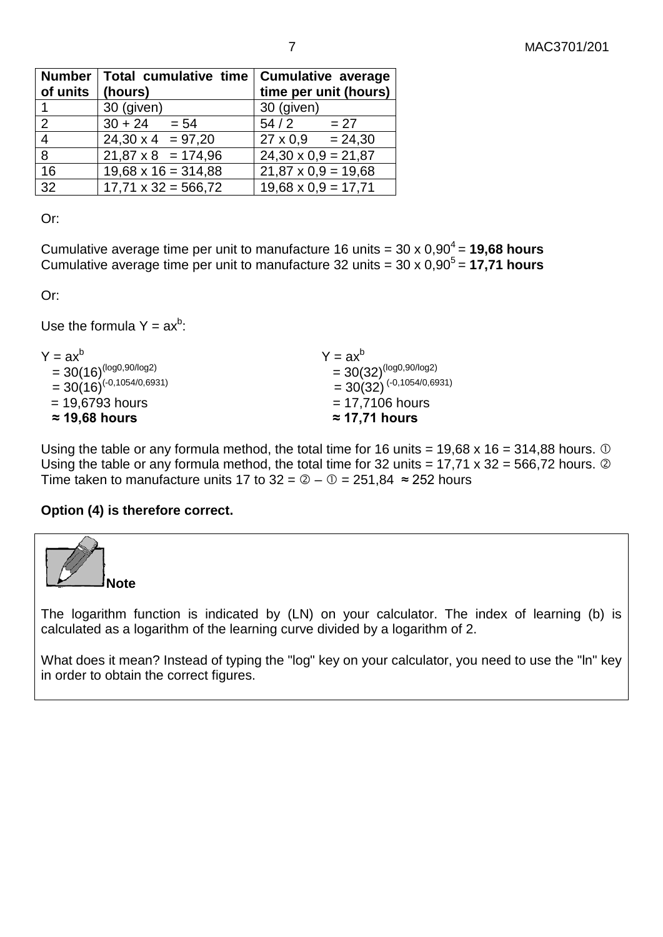| Number               | Total cumulative time   Cumulative average |                            |
|----------------------|--------------------------------------------|----------------------------|
| of units $ $ (hours) |                                            | time per unit (hours)      |
|                      | 30 (given)                                 | 30 (given)                 |
| 2                    | $30 + 24 = 54$                             | 54/2<br>$= 27$             |
| $\overline{4}$       | $24,30 \times 4 = 97,20$                   | $27 \times 0.9 = 24,30$    |
| 8                    | $21,87 \times 8 = 174,96$                  | $24,30 \times 0,9 = 21,87$ |
| 16                   | $19,68 \times 16 = 314,88$                 | $21,87 \times 0.9 = 19,68$ |
| 32                   | $17,71 \times 32 = 566,72$                 | $19,68 \times 0,9 = 17,71$ |

Or:

Cumulative average time per unit to manufacture 16 units =  $30 \times 0.90^4$  = **19,68 hours** Cumulative average time per unit to manufacture 32 units = 30 x 0,90<sup>5</sup> = 17,71 hours

Or:

Use the formula  $Y = ax^b$ :

| $Y = ax^b$                     | $Y = ax^b$                      |
|--------------------------------|---------------------------------|
| $=30(16)^{(\log 0,90/\log 2)}$ | $=30(32)^{(\log 0, 90/\log 2)}$ |
| $=30(16)^{(-0,1054/0,6931)}$   | $=30(32)^{(-0,1054/0,6931)}$    |
| $= 19,6793$ hours              | $= 17,7106$ hours               |
| $\approx$ 19,68 hours          | $\approx$ 17,71 hours           |

Using the table or any formula method, the total time for 16 units =  $19,68 \times 16 = 314,88$  hours.  $\odot$ Using the table or any formula method, the total time for 32 units = 17,71 x 32 = 566,72 hours.  $\circledcirc$ Time taken to manufacture units 17 to  $32 = 2 - 0 = 251,84 \approx 252$  hours

## **Option (4) is therefore correct.**



What does it mean? Instead of typing the "log" key on your calculator, you need to use the "ln" key in order to obtain the correct figures.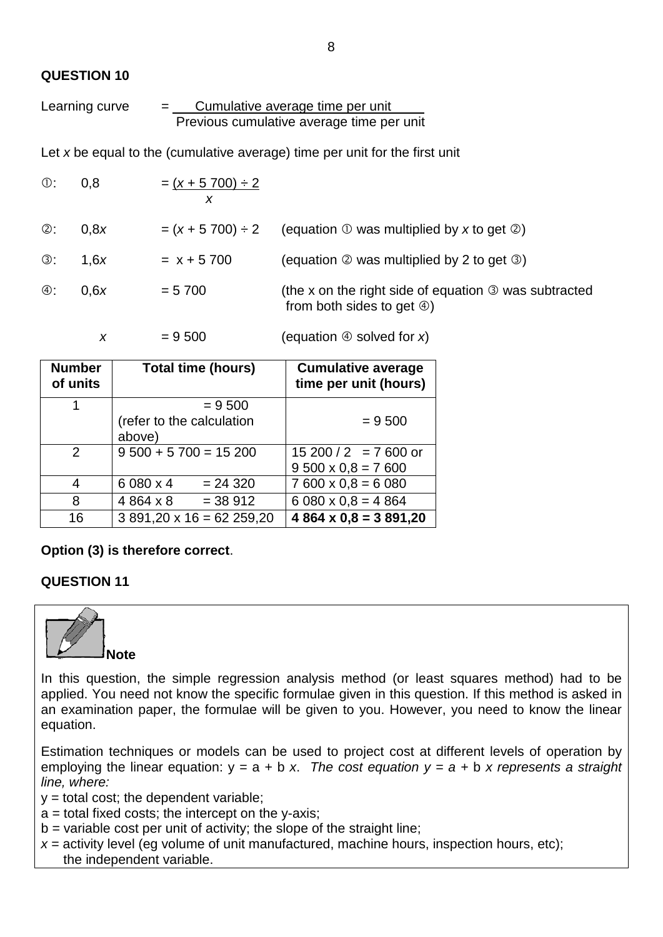#### **QUESTION 10**

Learning curve = Cumulative average time per unit . Previous cumulative average time per unit

Let *x* be equal to the (cumulative average) time per unit for the first unit

| $\circled{0}$ : | 0,8  | $=(x + 5700) \div 2$ |                                                                                                             |
|-----------------|------|----------------------|-------------------------------------------------------------------------------------------------------------|
| ②:              | 0.8x | $=(x + 5700) \div 2$ | (equation $\mathbb D$ was multiplied by x to get $\mathbb Q$ )                                              |
| ③:              | 1.6x | $= x + 5700$         | (equation $\oslash$ was multiplied by 2 to get $\oslash$ )                                                  |
| ④:              | 0.6x | $= 5700$             | (the x on the right side of equation $\circled{0}$ was subtracted<br>from both sides to get $\circled{4}$ ) |

 $x = 9500$  (equation  $\circledcirc$  solved for *x*)

| <b>Number</b><br>of units | <b>Total time (hours)</b>           | <b>Cumulative average</b><br>time per unit (hours) |
|---------------------------|-------------------------------------|----------------------------------------------------|
| 1                         | $= 9500$                            |                                                    |
|                           | (refer to the calculation<br>above) | $= 9500$                                           |
| $\mathcal{P}$             | $9500 + 5700 = 15200$               | $15200/2 = 7600$ or                                |
|                           |                                     | $9500 \times 0.8 = 7600$                           |
| 4                         | 6 080 x 4<br>$= 24320$              | $7600 \times 0.8 = 6080$                           |
| 8                         | 4864 x 8<br>$= 38912$               | $6080 \times 0.8 = 4864$                           |
| 16                        | $3891,20 \times 16 = 62259,20$      | $4864 \times 0.8 = 3891,20$                        |

## **Option (3) is therefore correct**.

## **QUESTION 11**



In this question, the simple regression analysis method (or least squares method) had to be applied. You need not know the specific formulae given in this question. If this method is asked in an examination paper, the formulae will be given to you. However, you need to know the linear equation.

Estimation techniques or models can be used to project cost at different levels of operation by employing the linear equation: y = a + b *x*. *The cost equation y = a +* b *x represents a straight line, where:*

- $y =$  total cost; the dependent variable;
- $a =$  total fixed costs; the intercept on the y-axis;
- $b =$  variable cost per unit of activity; the slope of the straight line;
- *x* = activity level (eg volume of unit manufactured, machine hours, inspection hours, etc); the independent variable.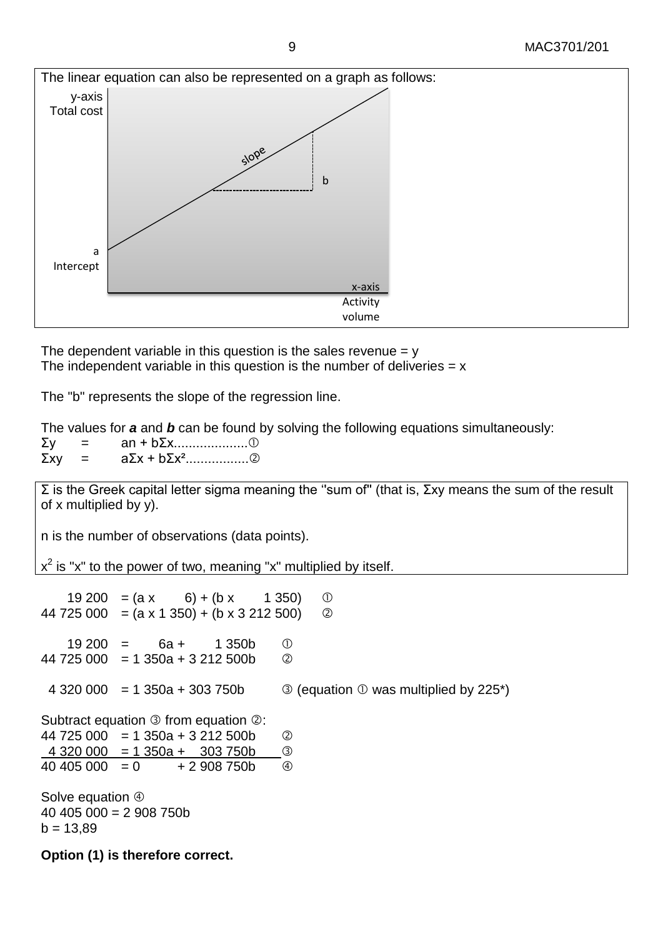

The dependent variable in this question is the sales revenue  $= y$ The independent variable in this question is the number of deliveries  $= x$ 

The "b" represents the slope of the regression line.

The values for *a* and *b* can be found by solving the following equations simultaneously:

| Σν          |  |  |
|-------------|--|--|
| $\Sigma$ xv |  |  |

Σ is the Greek capital letter sigma meaning the ''sum of'' (that is, Σxy means the sum of the result of x multiplied by y).

n is the number of observations (data points).

 $x^2$  is "x" to the power of two, meaning "x" multiplied by itself.

19 200 =  $(ax - 6) + (bx - 1350)$  ① 44 725 000 =  $(a \times 1 \times 350) + (b \times 3 \times 212 \times 500)$  ②  $19,200 = 6a + 1,350b$  (i)  $44\,725\,000 = 1350a + 3212\,500b$  <sup>②</sup> 4 320 000 = 1 350a + 303 750b  $\bigcirc$  (equation  $\bigcirc$  was multiplied by 225<sup>\*</sup>) Subtract equation  $\circledcirc$  from equation  $\circledcirc$ : 44 725 000 = 1 350a + 3 212 500b  $4\,320\,000 = 1\,350a + 303\,750b$  3  $40,405,000 = 0 + 2,908,750b$  (4) Solve equation  $@$ 40 405 000 = 2 908 750b  $b = 13,89$ **Option (1) is therefore correct.**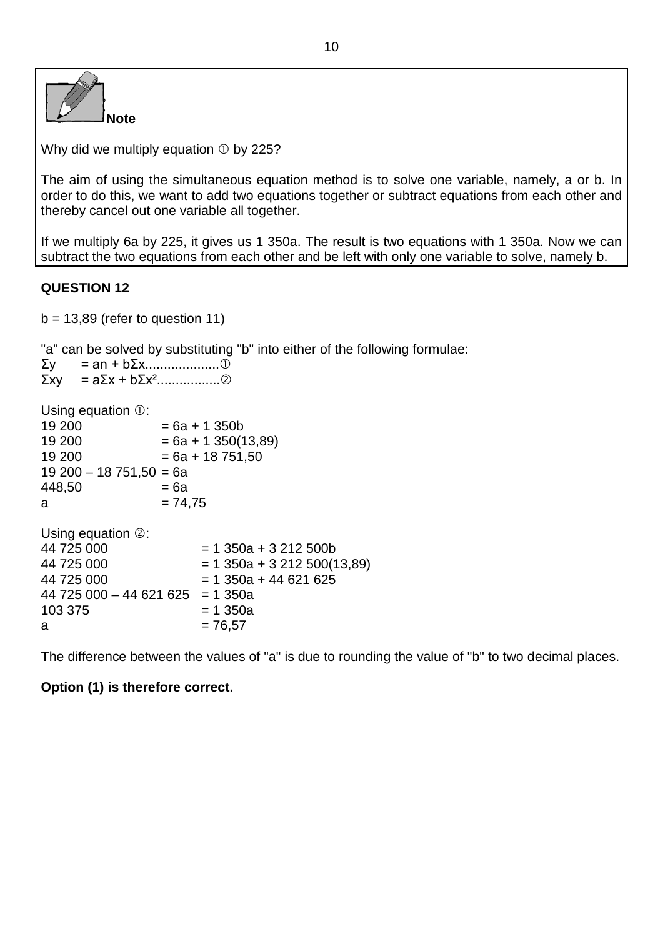| l Note |
|--------|

Why did we multiply equation  $\odot$  by 225?

The aim of using the simultaneous equation method is to solve one variable, namely, a or b. In order to do this, we want to add two equations together or subtract equations from each other and thereby cancel out one variable all together.

If we multiply 6a by 225, it gives us 1 350a. The result is two equations with 1 350a. Now we can subtract the two equations from each other and be left with only one variable to solve, namely b.

#### **QUESTION 12**

 $b = 13,89$  (refer to question 11)

"a" can be solved by substituting "b" into either of the following formulae:

|        |                                                 | a barriot borroa by capolitanity is into official |
|--------|-------------------------------------------------|---------------------------------------------------|
|        |                                                 |                                                   |
|        |                                                 |                                                   |
|        |                                                 |                                                   |
|        | Using equation $\mathbb{O}$ :                   |                                                   |
| 19 200 |                                                 | $= 6a + 1350b$                                    |
| 19 200 |                                                 | $= 6a + 1350(13,89)$                              |
| 19 200 |                                                 | $= 6a + 18751,50$                                 |
|        | $19200 - 18751,50 = 6a$                         |                                                   |
| 448,50 |                                                 | = 6a                                              |
| a      |                                                 | $= 74.75$                                         |
|        |                                                 |                                                   |
|        | $\blacksquare$ l leing aquation $\oslash \cdot$ |                                                   |

| $\cup$ Siriy cyuduoli $\otimes$ . |                               |
|-----------------------------------|-------------------------------|
| 44 725 000                        | $= 1$ 350a + 3 212 500b       |
| 44 725 000                        | $= 1$ 350a + 3 212 500(13,89) |
| 44 725 000                        | $= 1$ 350a + 44 621 625       |
| $44725000 - 44621625 = 1350a$     |                               |
| 103 375                           | $= 1,350a$                    |
| a                                 | $= 76.57$                     |
|                                   |                               |

The difference between the values of "a" is due to rounding the value of "b" to two decimal places.

## **Option (1) is therefore correct.**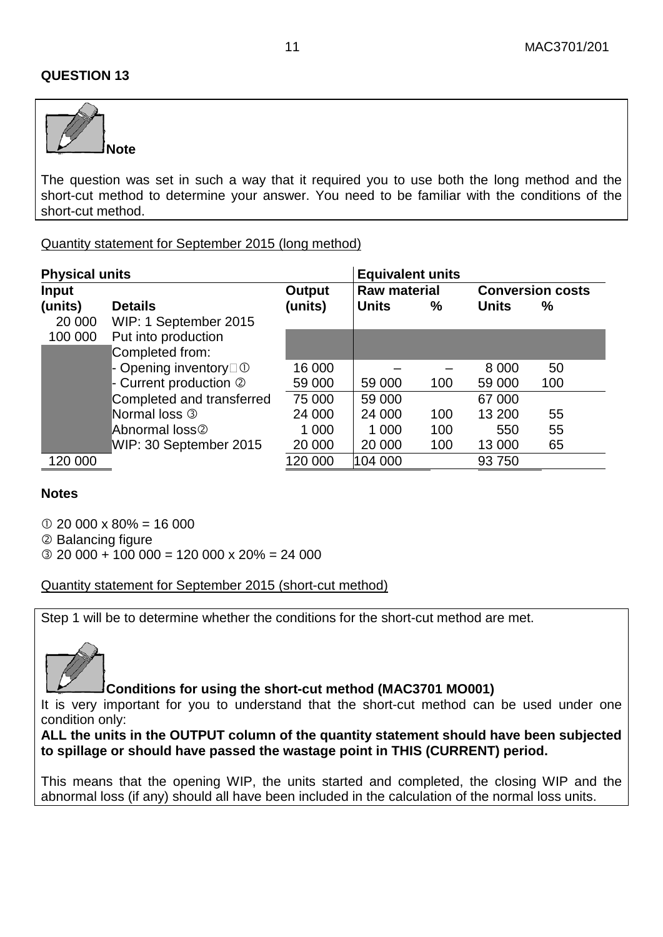#### **QUESTION 13**



The question was set in such a way that it required you to use both the long method and the short-cut method to determine your answer. You need to be familiar with the conditions of the short-cut method.

#### Quantity statement for September 2015 (long method)

| Output  |              | <b>Raw material</b> |                         | <b>Conversion costs</b> |  |
|---------|--------------|---------------------|-------------------------|-------------------------|--|
| (units) | <b>Units</b> | $\%$                | <b>Units</b>            | $\%$                    |  |
|         |              |                     |                         |                         |  |
|         |              |                     |                         |                         |  |
|         |              |                     |                         |                         |  |
| 16 000  |              |                     | 8 0 0 0                 | 50                      |  |
| 59 000  | 59 000       | 100                 | 59 000                  | 100                     |  |
| 75 000  | 59 000       |                     | 67 000                  |                         |  |
| 24 000  | 24 000       | 100                 | 13 200                  | 55                      |  |
| 1 0 0 0 | 1 000        | 100                 | 550                     | 55                      |  |
| 20 000  | 20 000       | 100                 | 13 000                  | 65                      |  |
| 120 000 | 104 000      |                     | 93 750                  |                         |  |
|         |              |                     | <b>Equivalent units</b> |                         |  |

#### **Notes**

 $\degree$  20 000 x 80% = 16 000

Balancing figure

 $\textcircled{3}$  20 000 + 100 000 = 120 000 x 20% = 24 000

Quantity statement for September 2015 (short-cut method)

Step 1 will be to determine whether the conditions for the short-cut method are met.



#### **Conditions for using the short-cut method (MAC3701 MO001)**

It is very important for you to understand that the short-cut method can be used under one condition only:

**ALL the units in the OUTPUT column of the quantity statement should have been subjected to spillage or should have passed the wastage point in THIS (CURRENT) period.** 

This means that the opening WIP, the units started and completed, the closing WIP and the abnormal loss (if any) should all have been included in the calculation of the normal loss units.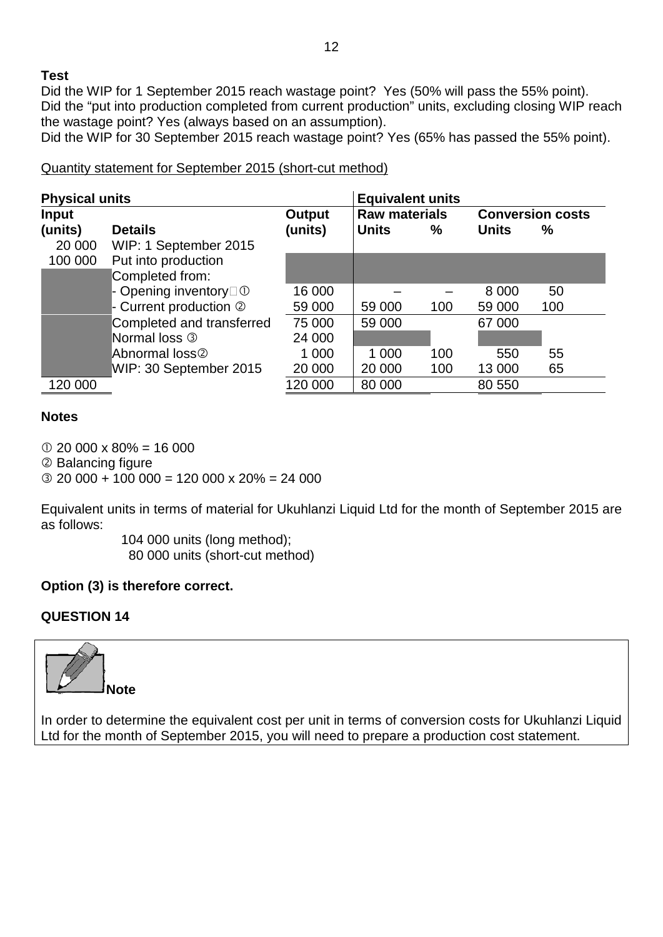## **Test**

Did the WIP for 1 September 2015 reach wastage point? Yes (50% will pass the 55% point). Did the "put into production completed from current production" units, excluding closing WIP reach the wastage point? Yes (always based on an assumption).

Did the WIP for 30 September 2015 reach wastage point? Yes (65% has passed the 55% point).

#### Quantity statement for September 2015 (short-cut method)

| <b>Physical units</b> |                                   |         | <b>Equivalent units</b> |                      |              |                         |  |
|-----------------------|-----------------------------------|---------|-------------------------|----------------------|--------------|-------------------------|--|
| <b>Input</b>          |                                   | Output  |                         | <b>Raw materials</b> |              | <b>Conversion costs</b> |  |
| (units)               | <b>Details</b>                    | (units) | <b>Units</b>            | $\%$                 | <b>Units</b> | $\frac{0}{0}$           |  |
| 20 000                | WIP: 1 September 2015             |         |                         |                      |              |                         |  |
| 100 000               | Put into production               |         |                         |                      |              |                         |  |
|                       | Completed from:                   |         |                         |                      |              |                         |  |
|                       | - Opening inventory $\Box$ $\Box$ | 16 000  |                         |                      | 8 0 0 0      | 50                      |  |
|                       | - Current production 2            | 59 000  | 59 000                  | 100                  | 59 000       | 100                     |  |
|                       | Completed and transferred         | 75 000  | 59 000                  |                      | 67 000       |                         |  |
|                       | Normal loss 3                     | 24 000  |                         |                      |              |                         |  |
|                       | Abnormal loss <sup>®</sup>        | 1 000   | 1 0 0 0                 | 100                  | 550          | 55                      |  |
|                       | WIP: 30 September 2015            | 20 000  | 20 000                  | 100                  | 13 000       | 65                      |  |
| 120 000               |                                   | 120 000 | 80 000                  |                      | 80 550       |                         |  |

#### **Notes**

 $\textcircled{1}$  20 000 x 80% = 16 000

Balancing figure

 $\textcircled{3}$  20 000 + 100 000 = 120 000 x 20% = 24 000

Equivalent units in terms of material for Ukuhlanzi Liquid Ltd for the month of September 2015 are as follows:

> 104 000 units (long method); 80 000 units (short-cut method)

## **Option (3) is therefore correct.**

## **QUESTION 14**



In order to determine the equivalent cost per unit in terms of conversion costs for Ukuhlanzi Liquid Ltd for the month of September 2015, you will need to prepare a production cost statement.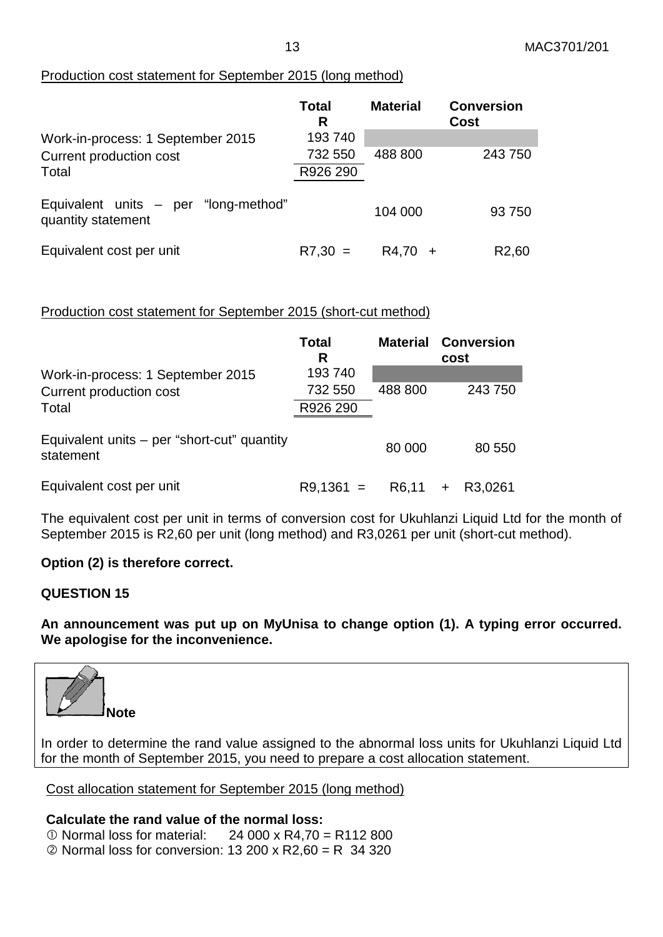#### Production cost statement for September 2015 (long method)

|                                                            | <b>Total</b><br>R | <b>Material</b> | <b>Conversion</b><br>Cost |
|------------------------------------------------------------|-------------------|-----------------|---------------------------|
| Work-in-process: 1 September 2015                          | 193740            |                 |                           |
| Current production cost                                    | 732 550           | 488 800         | 243750                    |
| Total                                                      | R926 290          |                 |                           |
| Equivalent units - per "long-method"<br>quantity statement |                   | 104 000         | 93750                     |
| Equivalent cost per unit                                   | $R7.30 =$         | R4,70           | R <sub>2</sub> ,60        |

#### Production cost statement for September 2015 (short-cut method)

|                                                          | Total<br>R  | <b>Material</b> | <b>Conversion</b><br>cost |  |
|----------------------------------------------------------|-------------|-----------------|---------------------------|--|
| Work-in-process: 1 September 2015                        | 193 740     |                 |                           |  |
| Current production cost                                  | 732 550     | 488 800         | 243 750                   |  |
| Total                                                    | R926 290    |                 |                           |  |
| Equivalent units – per "short-cut" quantity<br>statement |             | 80 000          | 80 550                    |  |
| Equivalent cost per unit                                 | $R9,1361 =$ | R6,11           | R3,0261<br>$\ddot{}$      |  |

The equivalent cost per unit in terms of conversion cost for Ukuhlanzi Liquid Ltd for the month of September 2015 is R2,60 per unit (long method) and R3,0261 per unit (short-cut method).

#### **Option (2) is therefore correct.**

#### **QUESTION 15**

**An announcement was put up on MyUnisa to change option (1). A typing error occurred. We apologise for the inconvenience.**



In order to determine the rand value assigned to the abnormal loss units for Ukuhlanzi Liquid Ltd for the month of September 2015, you need to prepare a cost allocation statement.

Cost allocation statement for September 2015 (long method)

**Calculate the rand value of the normal loss:**  $\Omega$  Normal loss for material: 24 000 x R4,70 = R112 800  $\oslash$  Normal loss for conversion: 13 200 x R2,60 = R 34 320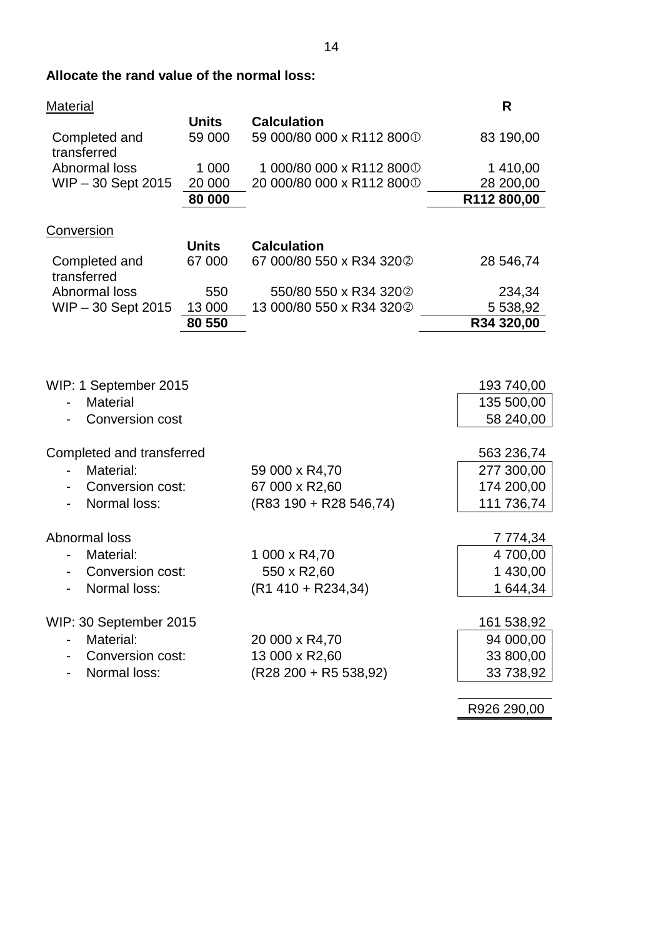# **Allocate the rand value of the normal loss:**

| <b>Material</b>                                                                                                |                             |                                                                                | R                                                                 |
|----------------------------------------------------------------------------------------------------------------|-----------------------------|--------------------------------------------------------------------------------|-------------------------------------------------------------------|
| Completed and<br>transferred                                                                                   | <b>Units</b><br>59 000      | <b>Calculation</b><br>59 000/80 000 x R112 8000                                | 83 190,00                                                         |
| Abnormal loss<br>WIP-30 Sept 2015                                                                              | 1 0 0 0<br>20 000<br>80 000 | 1 000/80 000 x R112 8000<br>20 000/80 000 x R112 8000                          | 1 410,00<br>28 200,00<br>R112 800,00                              |
| Conversion                                                                                                     |                             |                                                                                |                                                                   |
|                                                                                                                | <b>Units</b>                | <b>Calculation</b>                                                             |                                                                   |
| Completed and<br>transferred                                                                                   | 67 000                      | 67 000/80 550 x R34 3202                                                       | 28 546,74                                                         |
| Abnormal loss                                                                                                  | 550                         | 550/80 550 x R34 3202                                                          | 234,34                                                            |
| WIP-30 Sept 2015                                                                                               | 13 000                      | 13 000/80 550 x R34 3202                                                       | 5 538,92                                                          |
|                                                                                                                | 80 550                      |                                                                                | R34 320,00                                                        |
| WIP: 1 September 2015<br><b>Material</b><br><b>Conversion cost</b><br>Completed and transferred<br>Material:   |                             | 59 000 x R4,70                                                                 | 193 740,00<br>135 500,00<br>58 240,00<br>563 236,74<br>277 300,00 |
| Conversion cost:                                                                                               |                             | 67 000 x R2,60                                                                 | 174 200,00                                                        |
| Normal loss:<br>Abnormal loss<br>Material:<br>Conversion cost:<br>$\qquad \qquad \blacksquare$<br>Normal loss: |                             | $(R83 190 + R28 546,74)$<br>1 000 x R4,70<br>550 x R2,60<br>(R1 410 + R234,34) | 111 736,74<br>7 774,34<br>4 700,00<br>1 430,00<br>1 644,34        |
| WIP: 30 September 2015<br>Material:<br>Conversion cost:<br>Normal loss:                                        |                             | 20 000 x R4,70<br>13 000 x R2,60<br>(R28 200 + R5 538,92)                      | 161 538,92<br>94 000,00<br>33 800,00<br>33 738,92                 |
|                                                                                                                |                             |                                                                                | R926 290,00                                                       |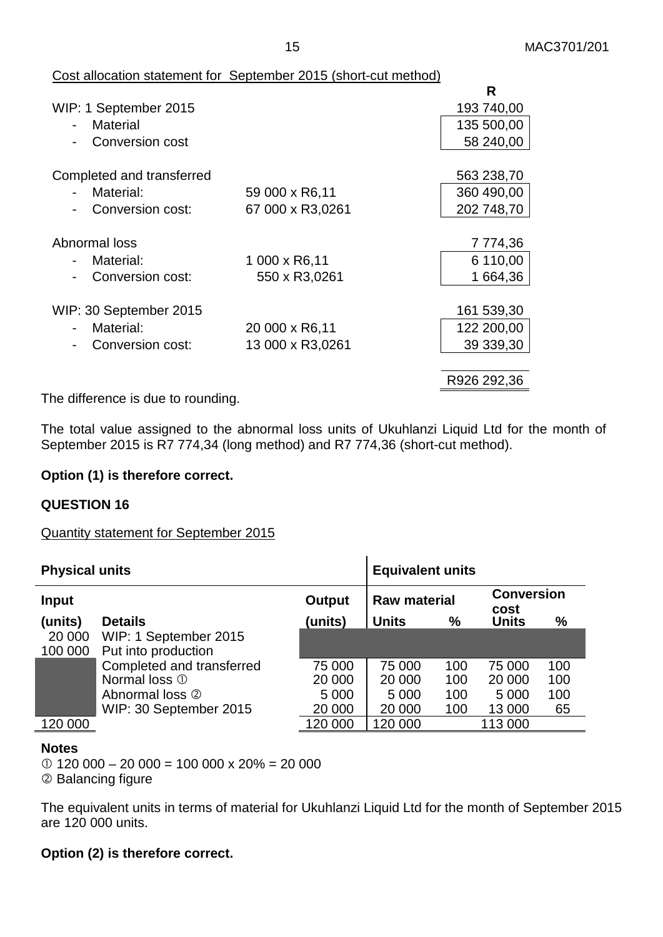#### Cost allocation statement for September 2015 (short-cut method)

|                  | R           |
|------------------|-------------|
|                  | 193 740,00  |
|                  | 135 500,00  |
|                  | 58 240,00   |
|                  |             |
|                  | 563 238,70  |
| 59 000 x R6,11   | 360 490,00  |
| 67 000 x R3,0261 | 202 748,70  |
|                  |             |
|                  | 7 774,36    |
| 1 000 x R6,11    | 6 110,00    |
| 550 x R3,0261    | 1 664,36    |
|                  |             |
|                  | 161 539,30  |
| 20 000 x R6,11   | 122 200,00  |
| 13 000 x R3,0261 | 39 339,30   |
|                  |             |
|                  | R926 292,36 |
|                  |             |

The difference is due to rounding.

The total value assigned to the abnormal loss units of Ukuhlanzi Liquid Ltd for the month of September 2015 is R7 774,34 (long method) and R7 774,36 (short-cut method).

#### **Option (1) is therefore correct.**

#### **QUESTION 16**

Quantity statement for September 2015

| <b>Physical units</b> | <b>Equivalent units</b>   |         |              |                     |              |                           |  |
|-----------------------|---------------------------|---------|--------------|---------------------|--------------|---------------------------|--|
| <b>Input</b>          |                           | Output  |              | <b>Raw material</b> |              | <b>Conversion</b><br>cost |  |
| (units)               | <b>Details</b>            | (units) | <b>Units</b> | $\%$                | <b>Units</b> | %                         |  |
| 20 000                | WIP: 1 September 2015     |         |              |                     |              |                           |  |
| 100 000               | Put into production       |         |              |                     |              |                           |  |
|                       | Completed and transferred | 75 000  | 75 000       | 100                 | 75 000       | 100                       |  |
|                       | Normal loss 1             | 20 000  | 20 000       | 100                 | 20 000       | 100                       |  |
|                       | Abnormal loss 2           | 5 0 0 0 | 5 0 0 0      | 100                 | 5 0 0 0      | 100                       |  |
|                       | WIP: 30 September 2015    | 20 000  | 20 000       | 100                 | 13 000       | 65                        |  |
| 120 000               |                           | 120 000 | 120 000      |                     | 113 000      |                           |  |

#### **Notes**

 $\textcircled{120}$  000 – 20 000 = 100 000 x 20% = 20 000 2 Balancing figure

The equivalent units in terms of material for Ukuhlanzi Liquid Ltd for the month of September 2015 are 120 000 units.

## **Option (2) is therefore correct.**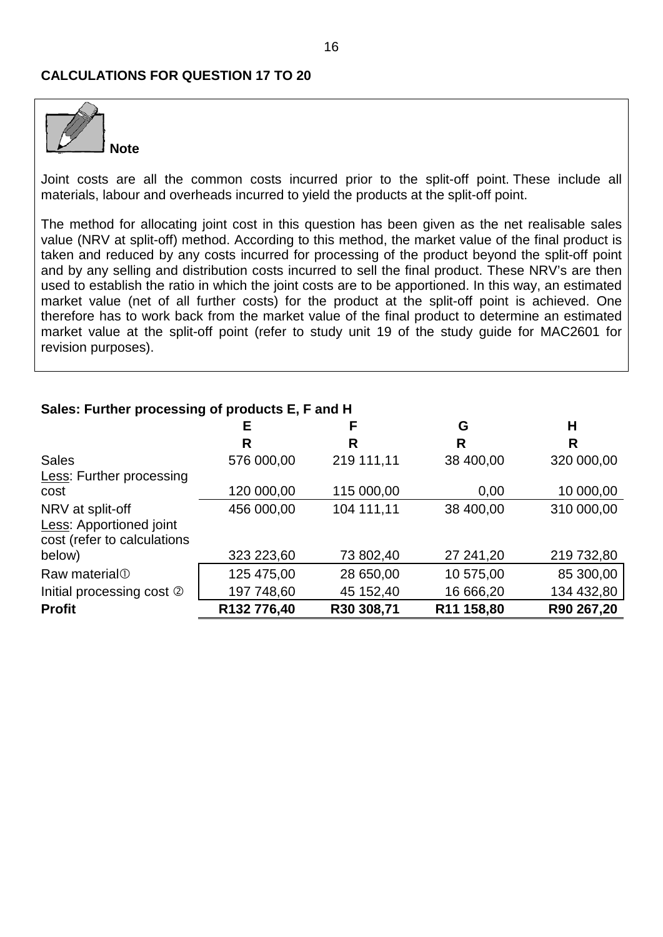#### **CALCULATIONS FOR QUESTION 17 TO 20**



Joint costs are all the common costs incurred prior to the split-off point. These include all materials, labour and overheads incurred to yield the products at the split-off point.

The method for allocating joint cost in this question has been given as the net realisable sales value (NRV at split-off) method. According to this method, the market value of the final product is taken and reduced by any costs incurred for processing of the product beyond the split-off point and by any selling and distribution costs incurred to sell the final product. These NRV's are then used to establish the ratio in which the joint costs are to be apportioned. In this way, an estimated market value (net of all further costs) for the product at the split-off point is achieved. One therefore has to work back from the market value of the final product to determine an estimated market value at the split-off point (refer to study unit 19 of the study guide for MAC2601 for revision purposes).

# **E F G H R R R R** Sales 576 000,00 219 111,11 38 400,00 320 000,00 Less: Further processing cost 120 000,00 115 000,00 0,00 10 000,00 NRV at split-off 456 000,00 104 111,11 38 400,00 310 000,00 **Less: Apportioned ioint** cost (refer to calculations below) 323 223,60 73 802,40 27 241,20 219 732,80 Raw material  $\overline{0}$  125 475,00 28 650,00 10 575,00 85 300,00 Initial processing cost  $\oslash$  | 197 748,60 45 152,40 16 666,20 134 432,80 **Profit R132 776,40 R30 308,71 R11 158,80 R90 267,20**

#### **Sales: Further processing of products E, F and H**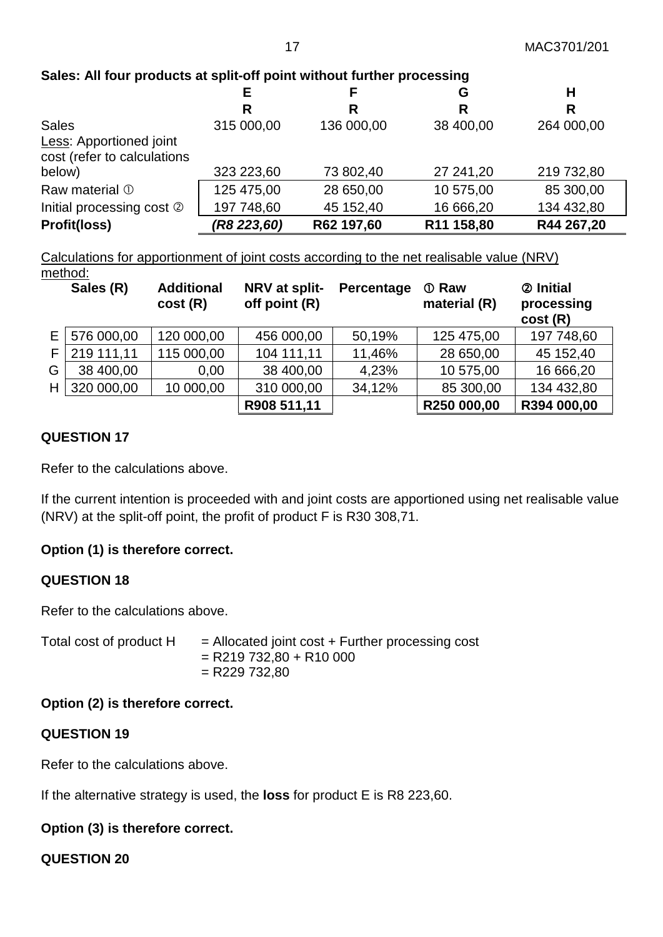# **Sales: All four products at split-off point without further processing**

|                                | Е           |            | G          | н          |
|--------------------------------|-------------|------------|------------|------------|
|                                | R           | R          | R          |            |
| <b>Sales</b>                   | 315 000,00  | 136 000,00 | 38 400,00  | 264 000,00 |
| <b>Less: Apportioned joint</b> |             |            |            |            |
| cost (refer to calculations    |             |            |            |            |
| below)                         | 323 223,60  | 73 802,40  | 27 241,20  | 219 732,80 |
| Raw material 1                 | 125 475,00  | 28 650,00  | 10 575,00  | 85 300,00  |
| Initial processing cost 2      | 197 748,60  | 45 152,40  | 16 666,20  | 134 432,80 |
| Profit(loss)                   | (R8 223,60) | R62 197,60 | R11 158,80 | R44 267,20 |

Calculations for apportionment of joint costs according to the net realisable value (NRV) method:

|    | Sales (R)  | <b>Additional</b><br>cost(R) | NRV at split-<br>off point (R) | Percentage | <b>1</b> Raw<br>material (R) | 2 Initial<br>processing<br>cost(R) |
|----|------------|------------------------------|--------------------------------|------------|------------------------------|------------------------------------|
| E. | 576 000,00 | 120 000,00                   | 456 000,00                     | 50,19%     | 125 475,00                   | 197 748,60                         |
| F  | 219 111,11 | 115 000,00                   | 104 111,11                     | 11,46%     | 28 650,00                    | 45 152,40                          |
| G  | 38 400,00  | 0,00                         | 38 400,00                      | 4,23%      | 10 575,00                    | 16 666,20                          |
| H  | 320 000,00 | 10 000,00                    | 310 000,00                     | 34,12%     | 85 300,00                    | 134 432,80                         |
|    |            |                              | R908 511,11                    |            | R250 000,00                  | R394 000,00                        |

## **QUESTION 17**

Refer to the calculations above.

If the current intention is proceeded with and joint costs are apportioned using net realisable value (NRV) at the split-off point, the profit of product F is R30 308,71.

## **Option (1) is therefore correct.**

## **QUESTION 18**

Refer to the calculations above.

Total cost of product  $H =$  Allocated joint cost  $+$  Further processing cost  $=$  R219 732,80 + R10 000  $= R229 732,80$ 

## **Option (2) is therefore correct.**

#### **QUESTION 19**

Refer to the calculations above.

If the alternative strategy is used, the **loss** for product E is R8 223,60.

## **Option (3) is therefore correct.**

**QUESTION 20**